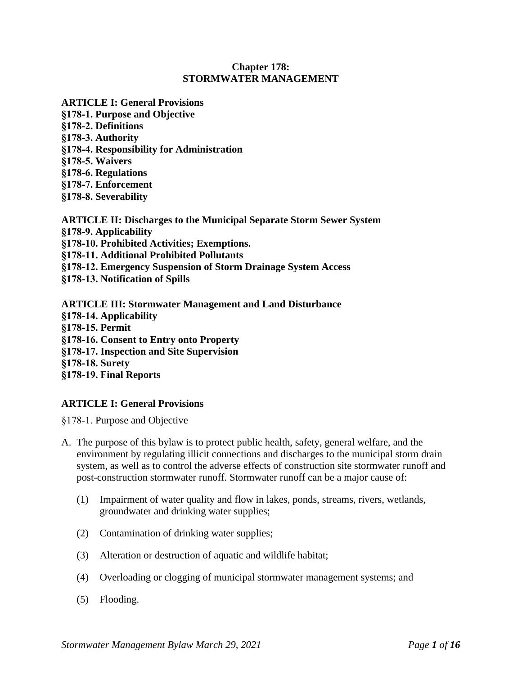# **Chapter 178: STORMWATER MANAGEMENT**

- **ARTICLE I: General Provisions**
- **§178-1. Purpose and Objective**
- **§178-2. Definitions**
- **§178-3. Authority**
- **§178-4. Responsibility for Administration**
- **§178-5. Waivers**
- **§178-6. Regulations**
- **§178-7. Enforcement**
- **§178-8. Severability**
- **ARTICLE II: Discharges to the Municipal Separate Storm Sewer System §178-9. Applicability §178-10. Prohibited Activities; Exemptions. §178-11. Additional Prohibited Pollutants §178-12. Emergency Suspension of Storm Drainage System Access §178-13. Notification of Spills**
- **ARTICLE III: Stormwater Management and Land Disturbance §178-14. Applicability §178-15. Permit §178-16. Consent to Entry onto Property §178-17. Inspection and Site Supervision §178-18. Surety §178-19. Final Reports**

# **ARTICLE I: General Provisions**

§178-1. Purpose and Objective

- A. The purpose of this bylaw is to protect public health, safety, general welfare, and the environment by regulating illicit connections and discharges to the municipal storm drain system, as well as to control the adverse effects of construction site stormwater runoff and post-construction stormwater runoff. Stormwater runoff can be a major cause of:
	- (1) Impairment of water quality and flow in lakes, ponds, streams, rivers, wetlands, groundwater and drinking water supplies;
	- (2) Contamination of drinking water supplies;
	- (3) Alteration or destruction of aquatic and wildlife habitat;
	- (4) Overloading or clogging of municipal stormwater management systems; and
	- (5) Flooding.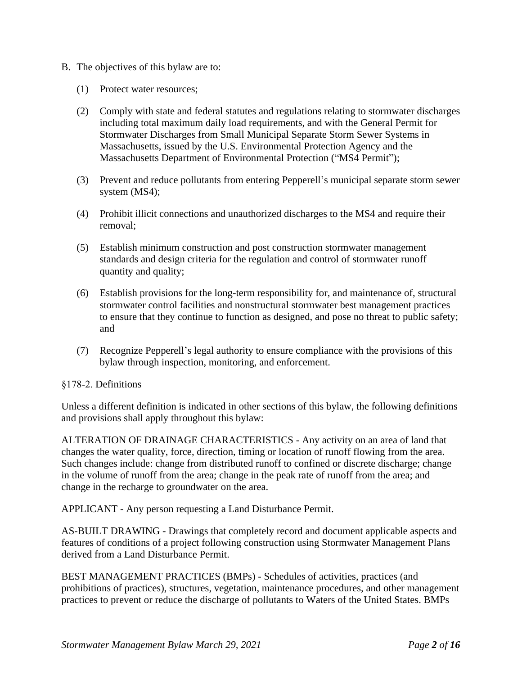- B. The objectives of this bylaw are to:
	- (1) Protect water resources;
	- (2) Comply with state and federal statutes and regulations relating to stormwater discharges including total maximum daily load requirements, and with the General Permit for Stormwater Discharges from Small Municipal Separate Storm Sewer Systems in Massachusetts, issued by the U.S. Environmental Protection Agency and the Massachusetts Department of Environmental Protection ("MS4 Permit");
	- (3) Prevent and reduce pollutants from entering Pepperell's municipal separate storm sewer system (MS4);
	- (4) Prohibit illicit connections and unauthorized discharges to the MS4 and require their removal;
	- (5) Establish minimum construction and post construction stormwater management standards and design criteria for the regulation and control of stormwater runoff quantity and quality;
	- (6) Establish provisions for the long-term responsibility for, and maintenance of, structural stormwater control facilities and nonstructural stormwater best management practices to ensure that they continue to function as designed, and pose no threat to public safety; and
	- (7) Recognize Pepperell's legal authority to ensure compliance with the provisions of this bylaw through inspection, monitoring, and enforcement.

#### §178-2. Definitions

Unless a different definition is indicated in other sections of this bylaw, the following definitions and provisions shall apply throughout this bylaw:

ALTERATION OF DRAINAGE CHARACTERISTICS - Any activity on an area of land that changes the water quality, force, direction, timing or location of runoff flowing from the area. Such changes include: change from distributed runoff to confined or discrete discharge; change in the volume of runoff from the area; change in the peak rate of runoff from the area; and change in the recharge to groundwater on the area.

APPLICANT - Any person requesting a Land Disturbance Permit.

AS-BUILT DRAWING - Drawings that completely record and document applicable aspects and features of conditions of a project following construction using Stormwater Management Plans derived from a Land Disturbance Permit.

BEST MANAGEMENT PRACTICES (BMPs) - Schedules of activities, practices (and prohibitions of practices), structures, vegetation, maintenance procedures, and other management practices to prevent or reduce the discharge of pollutants to Waters of the United States. BMPs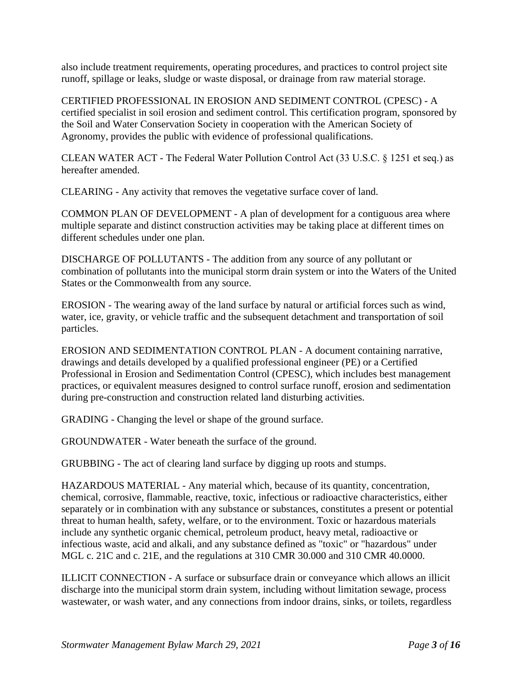also include treatment requirements, operating procedures, and practices to control project site runoff, spillage or leaks, sludge or waste disposal, or drainage from raw material storage.

CERTIFIED PROFESSIONAL IN EROSION AND SEDIMENT CONTROL (CPESC) - A certified specialist in soil erosion and sediment control. This certification program, sponsored by the Soil and Water Conservation Society in cooperation with the American Society of Agronomy, provides the public with evidence of professional qualifications.

CLEAN WATER ACT - The Federal Water Pollution Control Act (33 U.S.C. § 1251 et seq.) as hereafter amended.

CLEARING - Any activity that removes the vegetative surface cover of land.

COMMON PLAN OF DEVELOPMENT - A plan of development for a contiguous area where multiple separate and distinct construction activities may be taking place at different times on different schedules under one plan.

DISCHARGE OF POLLUTANTS - The addition from any source of any pollutant or combination of pollutants into the municipal storm drain system or into the Waters of the United States or the Commonwealth from any source.

EROSION - The wearing away of the land surface by natural or artificial forces such as wind, water, ice, gravity, or vehicle traffic and the subsequent detachment and transportation of soil particles.

EROSION AND SEDIMENTATION CONTROL PLAN - A document containing narrative, drawings and details developed by a qualified professional engineer (PE) or a Certified Professional in Erosion and Sedimentation Control (CPESC), which includes best management practices, or equivalent measures designed to control surface runoff, erosion and sedimentation during pre-construction and construction related land disturbing activities.

GRADING - Changing the level or shape of the ground surface.

GROUNDWATER - Water beneath the surface of the ground.

GRUBBING - The act of clearing land surface by digging up roots and stumps.

HAZARDOUS MATERIAL - Any material which, because of its quantity, concentration, chemical, corrosive, flammable, reactive, toxic, infectious or radioactive characteristics, either separately or in combination with any substance or substances, constitutes a present or potential threat to human health, safety, welfare, or to the environment. Toxic or hazardous materials include any synthetic organic chemical, petroleum product, heavy metal, radioactive or infectious waste, acid and alkali, and any substance defined as "toxic" or "hazardous" under MGL c. 21C and c. 21E, and the regulations at 310 CMR 30.000 and 310 CMR 40.0000.

ILLICIT CONNECTION - A surface or subsurface drain or conveyance which allows an illicit discharge into the municipal storm drain system, including without limitation sewage, process wastewater, or wash water, and any connections from indoor drains, sinks, or toilets, regardless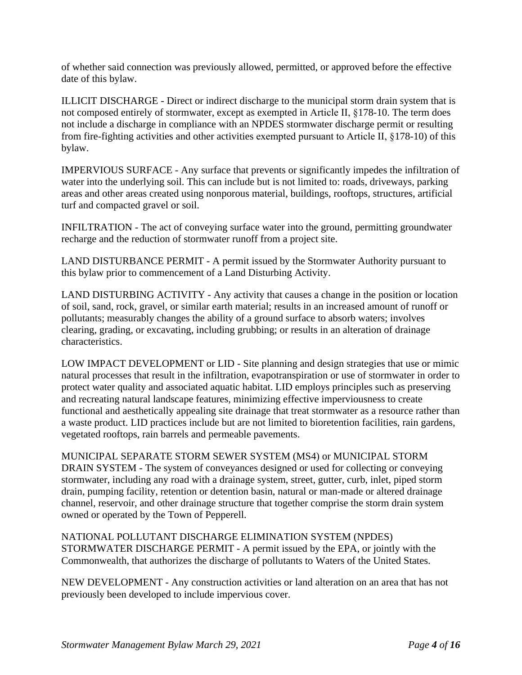of whether said connection was previously allowed, permitted, or approved before the effective date of this bylaw.

ILLICIT DISCHARGE - Direct or indirect discharge to the municipal storm drain system that is not composed entirely of stormwater, except as exempted in Article II, §178-10. The term does not include a discharge in compliance with an NPDES stormwater discharge permit or resulting from fire-fighting activities and other activities exempted pursuant to Article II, §178-10) of this bylaw.

IMPERVIOUS SURFACE - Any surface that prevents or significantly impedes the infiltration of water into the underlying soil. This can include but is not limited to: roads, driveways, parking areas and other areas created using nonporous material, buildings, rooftops, structures, artificial turf and compacted gravel or soil.

INFILTRATION - The act of conveying surface water into the ground, permitting groundwater recharge and the reduction of stormwater runoff from a project site.

LAND DISTURBANCE PERMIT - A permit issued by the Stormwater Authority pursuant to this bylaw prior to commencement of a Land Disturbing Activity.

LAND DISTURBING ACTIVITY - Any activity that causes a change in the position or location of soil, sand, rock, gravel, or similar earth material; results in an increased amount of runoff or pollutants; measurably changes the ability of a ground surface to absorb waters; involves clearing, grading, or excavating, including grubbing; or results in an alteration of drainage characteristics.

LOW IMPACT DEVELOPMENT or LID - Site planning and design strategies that use or mimic natural processes that result in the infiltration, evapotranspiration or use of stormwater in order to protect water quality and associated aquatic habitat. LID employs principles such as preserving and recreating natural landscape features, minimizing effective imperviousness to create functional and aesthetically appealing site drainage that treat stormwater as a resource rather than a waste product. LID practices include but are not limited to bioretention facilities, rain gardens, vegetated rooftops, rain barrels and permeable pavements.

MUNICIPAL SEPARATE STORM SEWER SYSTEM (MS4) or MUNICIPAL STORM DRAIN SYSTEM - The system of conveyances designed or used for collecting or conveying stormwater, including any road with a drainage system, street, gutter, curb, inlet, piped storm drain, pumping facility, retention or detention basin, natural or man-made or altered drainage channel, reservoir, and other drainage structure that together comprise the storm drain system owned or operated by the Town of Pepperell.

NATIONAL POLLUTANT DISCHARGE ELIMINATION SYSTEM (NPDES) STORMWATER DISCHARGE PERMIT - A permit issued by the EPA, or jointly with the Commonwealth, that authorizes the discharge of pollutants to Waters of the United States.

NEW DEVELOPMENT - Any construction activities or land alteration on an area that has not previously been developed to include impervious cover.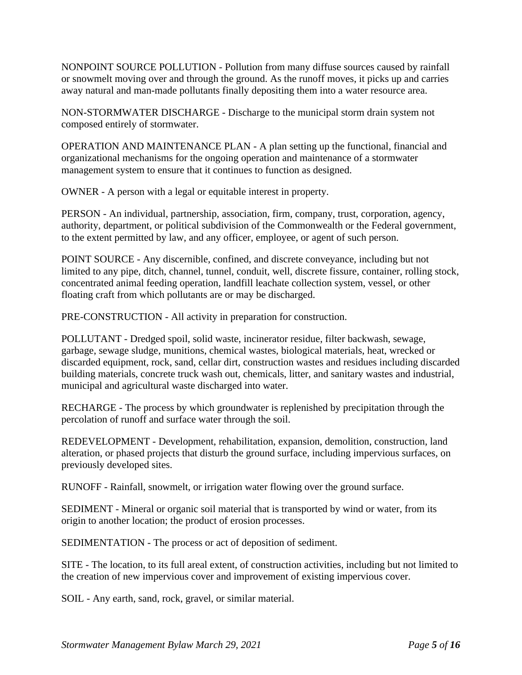NONPOINT SOURCE POLLUTION - Pollution from many diffuse sources caused by rainfall or snowmelt moving over and through the ground. As the runoff moves, it picks up and carries away natural and man-made pollutants finally depositing them into a water resource area.

NON-STORMWATER DISCHARGE - Discharge to the municipal storm drain system not composed entirely of stormwater.

OPERATION AND MAINTENANCE PLAN - A plan setting up the functional, financial and organizational mechanisms for the ongoing operation and maintenance of a stormwater management system to ensure that it continues to function as designed.

OWNER - A person with a legal or equitable interest in property.

PERSON - An individual, partnership, association, firm, company, trust, corporation, agency, authority, department, or political subdivision of the Commonwealth or the Federal government, to the extent permitted by law, and any officer, employee, or agent of such person.

POINT SOURCE - Any discernible, confined, and discrete conveyance, including but not limited to any pipe, ditch, channel, tunnel, conduit, well, discrete fissure, container, rolling stock, concentrated animal feeding operation, landfill leachate collection system, vessel, or other floating craft from which pollutants are or may be discharged.

PRE-CONSTRUCTION - All activity in preparation for construction.

POLLUTANT - Dredged spoil, solid waste, incinerator residue, filter backwash, sewage, garbage, sewage sludge, munitions, chemical wastes, biological materials, heat, wrecked or discarded equipment, rock, sand, cellar dirt, construction wastes and residues including discarded building materials, concrete truck wash out, chemicals, litter, and sanitary wastes and industrial, municipal and agricultural waste discharged into water.

RECHARGE - The process by which groundwater is replenished by precipitation through the percolation of runoff and surface water through the soil.

REDEVELOPMENT - Development, rehabilitation, expansion, demolition, construction, land alteration, or phased projects that disturb the ground surface, including impervious surfaces, on previously developed sites.

RUNOFF - Rainfall, snowmelt, or irrigation water flowing over the ground surface.

SEDIMENT - Mineral or organic soil material that is transported by wind or water, from its origin to another location; the product of erosion processes.

SEDIMENTATION - The process or act of deposition of sediment.

SITE - The location, to its full areal extent, of construction activities, including but not limited to the creation of new impervious cover and improvement of existing impervious cover.

SOIL - Any earth, sand, rock, gravel, or similar material.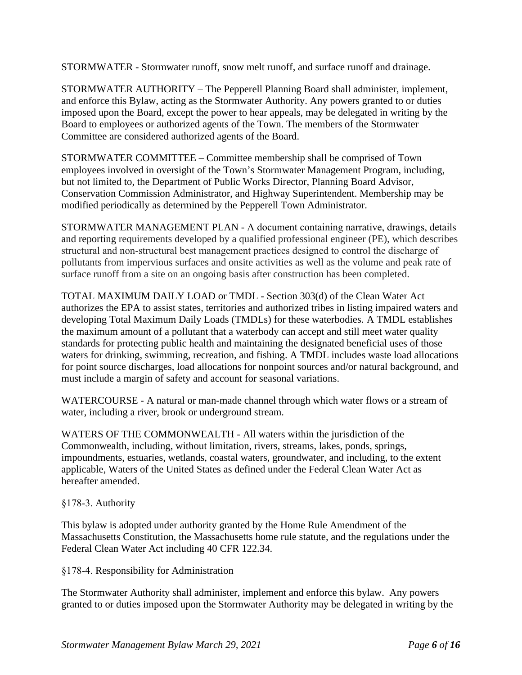STORMWATER - Stormwater runoff, snow melt runoff, and surface runoff and drainage.

STORMWATER AUTHORITY – The Pepperell Planning Board shall administer, implement, and enforce this Bylaw, acting as the Stormwater Authority. Any powers granted to or duties imposed upon the Board, except the power to hear appeals, may be delegated in writing by the Board to employees or authorized agents of the Town. The members of the Stormwater Committee are considered authorized agents of the Board.

STORMWATER COMMITTEE – Committee membership shall be comprised of Town employees involved in oversight of the Town's Stormwater Management Program, including, but not limited to, the Department of Public Works Director, Planning Board Advisor, Conservation Commission Administrator, and Highway Superintendent. Membership may be modified periodically as determined by the Pepperell Town Administrator.

STORMWATER MANAGEMENT PLAN - A document containing narrative, drawings, details and reporting requirements developed by a qualified professional engineer (PE), which describes structural and non-structural best management practices designed to control the discharge of pollutants from impervious surfaces and onsite activities as well as the volume and peak rate of surface runoff from a site on an ongoing basis after construction has been completed.

TOTAL MAXIMUM DAILY LOAD or TMDL - Section 303(d) of the Clean Water Act authorizes the EPA to assist states, territories and authorized tribes in listing impaired waters and developing Total Maximum Daily Loads (TMDLs) for these waterbodies. A TMDL establishes the maximum amount of a pollutant that a waterbody can accept and still meet water quality standards for protecting public health and maintaining the designated beneficial uses of those waters for drinking, swimming, recreation, and fishing. A TMDL includes waste load allocations for point source discharges, load allocations for nonpoint sources and/or natural background, and must include a margin of safety and account for seasonal variations.

WATERCOURSE - A natural or man-made channel through which water flows or a stream of water, including a river, brook or underground stream.

WATERS OF THE COMMONWEALTH - All waters within the jurisdiction of the Commonwealth, including, without limitation, rivers, streams, lakes, ponds, springs, impoundments, estuaries, wetlands, coastal waters, groundwater, and including, to the extent applicable, Waters of the United States as defined under the Federal Clean Water Act as hereafter amended.

# §178-3. Authority

This bylaw is adopted under authority granted by the Home Rule Amendment of the Massachusetts Constitution, the Massachusetts home rule statute, and the regulations under the Federal Clean Water Act including 40 CFR 122.34.

§178-4. Responsibility for Administration

The Stormwater Authority shall administer, implement and enforce this bylaw. Any powers granted to or duties imposed upon the Stormwater Authority may be delegated in writing by the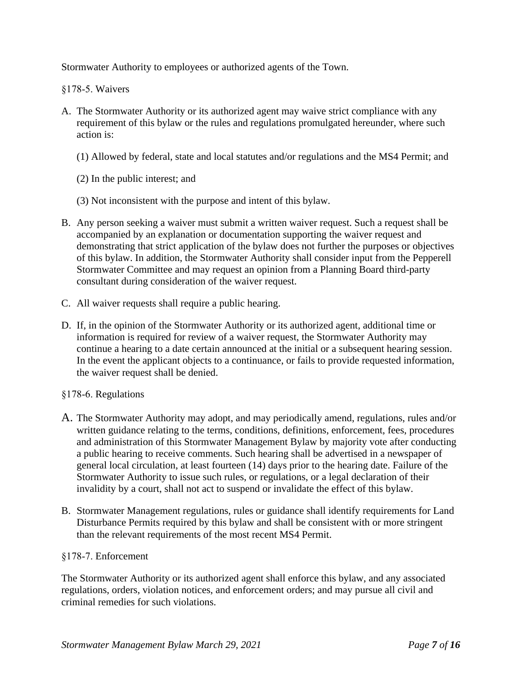Stormwater Authority to employees or authorized agents of the Town.

§178-5. Waivers

- A. The Stormwater Authority or its authorized agent may waive strict compliance with any requirement of this bylaw or the rules and regulations promulgated hereunder, where such action is:
	- (1) Allowed by federal, state and local statutes and/or regulations and the MS4 Permit; and
	- (2) In the public interest; and
	- (3) Not inconsistent with the purpose and intent of this bylaw.
- B. Any person seeking a waiver must submit a written waiver request. Such a request shall be accompanied by an explanation or documentation supporting the waiver request and demonstrating that strict application of the bylaw does not further the purposes or objectives of this bylaw. In addition, the Stormwater Authority shall consider input from the Pepperell Stormwater Committee and may request an opinion from a Planning Board third-party consultant during consideration of the waiver request.
- C. All waiver requests shall require a public hearing.
- D. If, in the opinion of the Stormwater Authority or its authorized agent, additional time or information is required for review of a waiver request, the Stormwater Authority may continue a hearing to a date certain announced at the initial or a subsequent hearing session. In the event the applicant objects to a continuance, or fails to provide requested information, the waiver request shall be denied.
- §178-6. Regulations
- A. The Stormwater Authority may adopt, and may periodically amend, regulations, rules and/or written guidance relating to the terms, conditions, definitions, enforcement, fees, procedures and administration of this Stormwater Management Bylaw by majority vote after conducting a public hearing to receive comments. Such hearing shall be advertised in a newspaper of general local circulation, at least fourteen (14) days prior to the hearing date. Failure of the Stormwater Authority to issue such rules, or regulations, or a legal declaration of their invalidity by a court, shall not act to suspend or invalidate the effect of this bylaw.
- B. Stormwater Management regulations, rules or guidance shall identify requirements for Land Disturbance Permits required by this bylaw and shall be consistent with or more stringent than the relevant requirements of the most recent MS4 Permit.

#### §178-7. Enforcement

The Stormwater Authority or its authorized agent shall enforce this bylaw, and any associated regulations, orders, violation notices, and enforcement orders; and may pursue all civil and criminal remedies for such violations.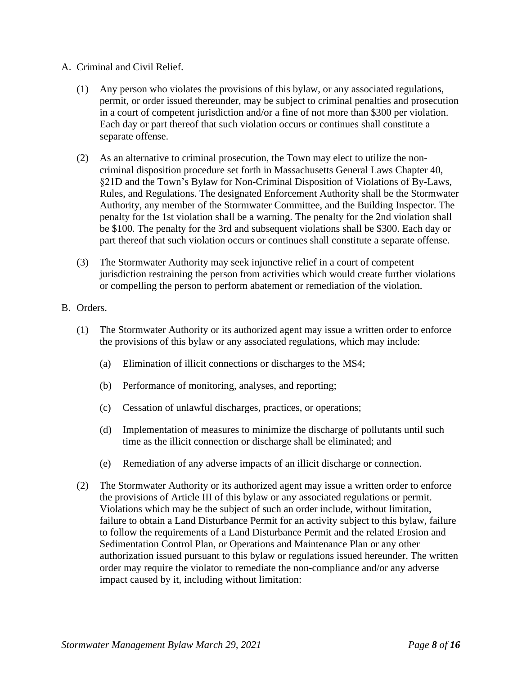#### A. Criminal and Civil Relief.

- (1) Any person who violates the provisions of this bylaw, or any associated regulations, permit, or order issued thereunder, may be subject to criminal penalties and prosecution in a court of competent jurisdiction and/or a fine of not more than \$300 per violation. Each day or part thereof that such violation occurs or continues shall constitute a separate offense.
- (2) As an alternative to criminal prosecution, the Town may elect to utilize the noncriminal disposition procedure set forth in Massachusetts General Laws Chapter 40, §21D and the Town's Bylaw for Non-Criminal Disposition of Violations of By-Laws, Rules, and Regulations. The designated Enforcement Authority shall be the Stormwater Authority, any member of the Stormwater Committee, and the Building Inspector. The penalty for the 1st violation shall be a warning. The penalty for the 2nd violation shall be \$100. The penalty for the 3rd and subsequent violations shall be \$300. Each day or part thereof that such violation occurs or continues shall constitute a separate offense.
- (3) The Stormwater Authority may seek injunctive relief in a court of competent jurisdiction restraining the person from activities which would create further violations or compelling the person to perform abatement or remediation of the violation.

#### B. Orders.

- (1) The Stormwater Authority or its authorized agent may issue a written order to enforce the provisions of this bylaw or any associated regulations, which may include:
	- (a) Elimination of illicit connections or discharges to the MS4;
	- (b) Performance of monitoring, analyses, and reporting;
	- (c) Cessation of unlawful discharges, practices, or operations;
	- (d) Implementation of measures to minimize the discharge of pollutants until such time as the illicit connection or discharge shall be eliminated; and
	- (e) Remediation of any adverse impacts of an illicit discharge or connection.
- (2) The Stormwater Authority or its authorized agent may issue a written order to enforce the provisions of Article III of this bylaw or any associated regulations or permit. Violations which may be the subject of such an order include, without limitation, failure to obtain a Land Disturbance Permit for an activity subject to this bylaw, failure to follow the requirements of a Land Disturbance Permit and the related Erosion and Sedimentation Control Plan, or Operations and Maintenance Plan or any other authorization issued pursuant to this bylaw or regulations issued hereunder. The written order may require the violator to remediate the non-compliance and/or any adverse impact caused by it, including without limitation: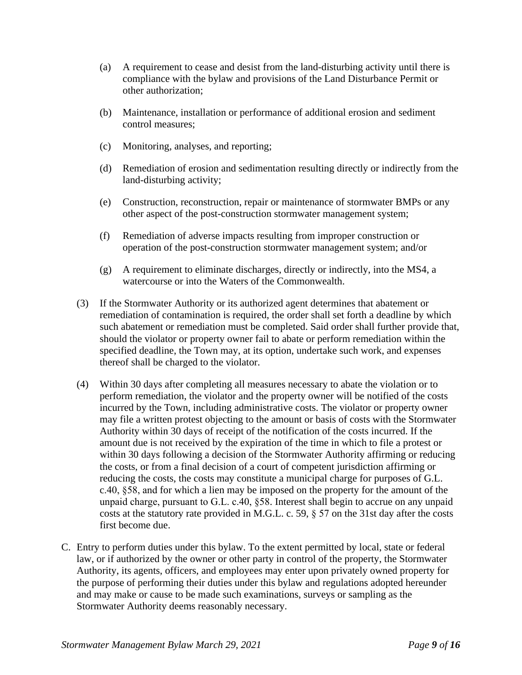- (a) A requirement to cease and desist from the land-disturbing activity until there is compliance with the bylaw and provisions of the Land Disturbance Permit or other authorization;
- (b) Maintenance, installation or performance of additional erosion and sediment control measures;
- (c) Monitoring, analyses, and reporting;
- (d) Remediation of erosion and sedimentation resulting directly or indirectly from the land-disturbing activity;
- (e) Construction, reconstruction, repair or maintenance of stormwater BMPs or any other aspect of the post-construction stormwater management system;
- (f) Remediation of adverse impacts resulting from improper construction or operation of the post-construction stormwater management system; and/or
- (g) A requirement to eliminate discharges, directly or indirectly, into the MS4, a watercourse or into the Waters of the Commonwealth.
- (3) If the Stormwater Authority or its authorized agent determines that abatement or remediation of contamination is required, the order shall set forth a deadline by which such abatement or remediation must be completed. Said order shall further provide that, should the violator or property owner fail to abate or perform remediation within the specified deadline, the Town may, at its option, undertake such work, and expenses thereof shall be charged to the violator.
- (4) Within 30 days after completing all measures necessary to abate the violation or to perform remediation, the violator and the property owner will be notified of the costs incurred by the Town, including administrative costs. The violator or property owner may file a written protest objecting to the amount or basis of costs with the Stormwater Authority within 30 days of receipt of the notification of the costs incurred. If the amount due is not received by the expiration of the time in which to file a protest or within 30 days following a decision of the Stormwater Authority affirming or reducing the costs, or from a final decision of a court of competent jurisdiction affirming or reducing the costs, the costs may constitute a municipal charge for purposes of G.L. c.40, §58, and for which a lien may be imposed on the property for the amount of the unpaid charge, pursuant to G.L. c.40, §58. Interest shall begin to accrue on any unpaid costs at the statutory rate provided in M.G.L. c. 59, § 57 on the 31st day after the costs first become due.
- C. Entry to perform duties under this bylaw. To the extent permitted by local, state or federal law, or if authorized by the owner or other party in control of the property, the Stormwater Authority, its agents, officers, and employees may enter upon privately owned property for the purpose of performing their duties under this bylaw and regulations adopted hereunder and may make or cause to be made such examinations, surveys or sampling as the Stormwater Authority deems reasonably necessary.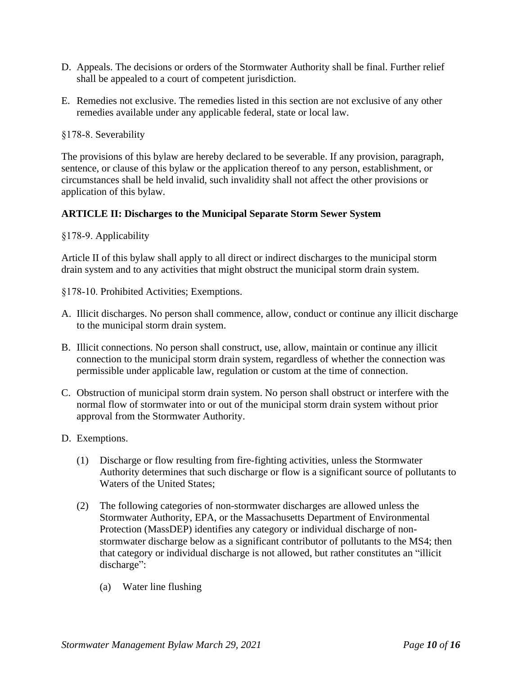- D. Appeals. The decisions or orders of the Stormwater Authority shall be final. Further relief shall be appealed to a court of competent jurisdiction.
- E. Remedies not exclusive. The remedies listed in this section are not exclusive of any other remedies available under any applicable federal, state or local law.

§178-8. Severability

The provisions of this bylaw are hereby declared to be severable. If any provision, paragraph, sentence, or clause of this bylaw or the application thereof to any person, establishment, or circumstances shall be held invalid, such invalidity shall not affect the other provisions or application of this bylaw.

### **ARTICLE II: Discharges to the Municipal Separate Storm Sewer System**

§178-9. Applicability

Article II of this bylaw shall apply to all direct or indirect discharges to the municipal storm drain system and to any activities that might obstruct the municipal storm drain system.

§178-10. Prohibited Activities; Exemptions.

- A. Illicit discharges. No person shall commence, allow, conduct or continue any illicit discharge to the municipal storm drain system.
- B. Illicit connections. No person shall construct, use, allow, maintain or continue any illicit connection to the municipal storm drain system, regardless of whether the connection was permissible under applicable law, regulation or custom at the time of connection.
- C. Obstruction of municipal storm drain system. No person shall obstruct or interfere with the normal flow of stormwater into or out of the municipal storm drain system without prior approval from the Stormwater Authority.
- D. Exemptions.
	- (1) Discharge or flow resulting from fire-fighting activities, unless the Stormwater Authority determines that such discharge or flow is a significant source of pollutants to Waters of the United States;
	- (2) The following categories of non-stormwater discharges are allowed unless the Stormwater Authority, EPA, or the Massachusetts Department of Environmental Protection (MassDEP) identifies any category or individual discharge of nonstormwater discharge below as a significant contributor of pollutants to the MS4; then that category or individual discharge is not allowed, but rather constitutes an "illicit discharge":
		- (a) Water line flushing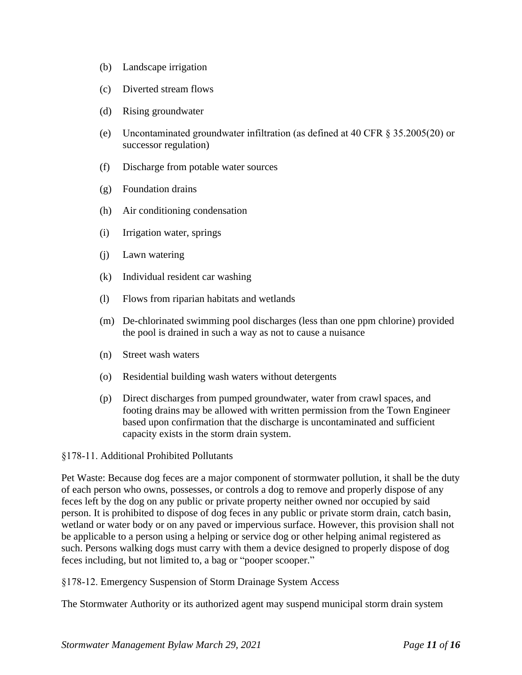- (b) Landscape irrigation
- (c) Diverted stream flows
- (d) Rising groundwater
- (e) Uncontaminated groundwater infiltration (as defined at 40 CFR § 35.2005(20) or successor regulation)
- (f) Discharge from potable water sources
- (g) Foundation drains
- (h) Air conditioning condensation
- (i) Irrigation water, springs
- (j) Lawn watering
- (k) Individual resident car washing
- (l) Flows from riparian habitats and wetlands
- (m) De-chlorinated swimming pool discharges (less than one ppm chlorine) provided the pool is drained in such a way as not to cause a nuisance
- (n) Street wash waters
- (o) Residential building wash waters without detergents
- (p) Direct discharges from pumped groundwater, water from crawl spaces, and footing drains may be allowed with written permission from the Town Engineer based upon confirmation that the discharge is uncontaminated and sufficient capacity exists in the storm drain system.

#### §178-11. Additional Prohibited Pollutants

Pet Waste: Because dog feces are a major component of stormwater pollution, it shall be the duty of each person who owns, possesses, or controls a dog to remove and properly dispose of any feces left by the dog on any public or private property neither owned nor occupied by said person. It is prohibited to dispose of dog feces in any public or private storm drain, catch basin, wetland or water body or on any paved or impervious surface. However, this provision shall not be applicable to a person using a helping or service dog or other helping animal registered as such. Persons walking dogs must carry with them a device designed to properly dispose of dog feces including, but not limited to, a bag or "pooper scooper."

§178-12. Emergency Suspension of Storm Drainage System Access

The Stormwater Authority or its authorized agent may suspend municipal storm drain system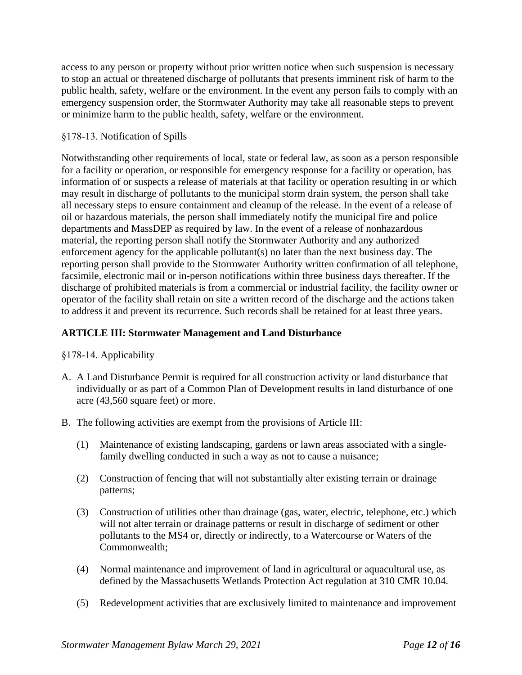access to any person or property without prior written notice when such suspension is necessary to stop an actual or threatened discharge of pollutants that presents imminent risk of harm to the public health, safety, welfare or the environment. In the event any person fails to comply with an emergency suspension order, the Stormwater Authority may take all reasonable steps to prevent or minimize harm to the public health, safety, welfare or the environment.

### §178-13. Notification of Spills

Notwithstanding other requirements of local, state or federal law, as soon as a person responsible for a facility or operation, or responsible for emergency response for a facility or operation, has information of or suspects a release of materials at that facility or operation resulting in or which may result in discharge of pollutants to the municipal storm drain system, the person shall take all necessary steps to ensure containment and cleanup of the release. In the event of a release of oil or hazardous materials, the person shall immediately notify the municipal fire and police departments and MassDEP as required by law. In the event of a release of nonhazardous material, the reporting person shall notify the Stormwater Authority and any authorized enforcement agency for the applicable pollutant(s) no later than the next business day. The reporting person shall provide to the Stormwater Authority written confirmation of all telephone, facsimile, electronic mail or in-person notifications within three business days thereafter. If the discharge of prohibited materials is from a commercial or industrial facility, the facility owner or operator of the facility shall retain on site a written record of the discharge and the actions taken to address it and prevent its recurrence. Such records shall be retained for at least three years.

# **ARTICLE III: Stormwater Management and Land Disturbance**

- §178-14. Applicability
- A. A Land Disturbance Permit is required for all construction activity or land disturbance that individually or as part of a Common Plan of Development results in land disturbance of one acre (43,560 square feet) or more.
- B. The following activities are exempt from the provisions of Article III:
	- (1) Maintenance of existing landscaping, gardens or lawn areas associated with a singlefamily dwelling conducted in such a way as not to cause a nuisance;
	- (2) Construction of fencing that will not substantially alter existing terrain or drainage patterns;
	- (3) Construction of utilities other than drainage (gas, water, electric, telephone, etc.) which will not alter terrain or drainage patterns or result in discharge of sediment or other pollutants to the MS4 or, directly or indirectly, to a Watercourse or Waters of the Commonwealth;
	- (4) Normal maintenance and improvement of land in agricultural or aquacultural use, as defined by the Massachusetts Wetlands Protection Act regulation at 310 CMR 10.04.
	- (5) Redevelopment activities that are exclusively limited to maintenance and improvement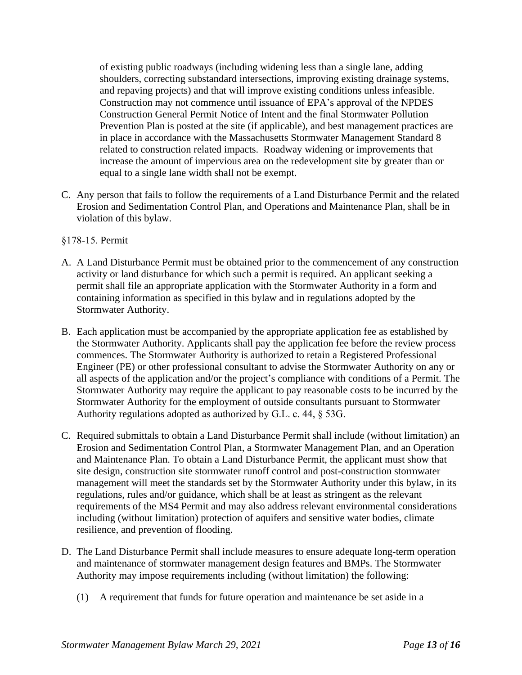of existing public roadways (including widening less than a single lane, adding shoulders, correcting substandard intersections, improving existing drainage systems, and repaving projects) and that will improve existing conditions unless infeasible. Construction may not commence until issuance of EPA's approval of the NPDES Construction General Permit Notice of Intent and the final Stormwater Pollution Prevention Plan is posted at the site (if applicable), and best management practices are in place in accordance with the Massachusetts Stormwater Management Standard 8 related to construction related impacts. Roadway widening or improvements that increase the amount of impervious area on the redevelopment site by greater than or equal to a single lane width shall not be exempt.

C. Any person that fails to follow the requirements of a Land Disturbance Permit and the related Erosion and Sedimentation Control Plan, and Operations and Maintenance Plan, shall be in violation of this bylaw.

#### §178-15. Permit

- A. A Land Disturbance Permit must be obtained prior to the commencement of any construction activity or land disturbance for which such a permit is required. An applicant seeking a permit shall file an appropriate application with the Stormwater Authority in a form and containing information as specified in this bylaw and in regulations adopted by the Stormwater Authority.
- B. Each application must be accompanied by the appropriate application fee as established by the Stormwater Authority. Applicants shall pay the application fee before the review process commences. The Stormwater Authority is authorized to retain a Registered Professional Engineer (PE) or other professional consultant to advise the Stormwater Authority on any or all aspects of the application and/or the project's compliance with conditions of a Permit. The Stormwater Authority may require the applicant to pay reasonable costs to be incurred by the Stormwater Authority for the employment of outside consultants pursuant to Stormwater Authority regulations adopted as authorized by G.L. c. 44, § 53G.
- C. Required submittals to obtain a Land Disturbance Permit shall include (without limitation) an Erosion and Sedimentation Control Plan, a Stormwater Management Plan, and an Operation and Maintenance Plan. To obtain a Land Disturbance Permit, the applicant must show that site design, construction site stormwater runoff control and post-construction stormwater management will meet the standards set by the Stormwater Authority under this bylaw, in its regulations, rules and/or guidance, which shall be at least as stringent as the relevant requirements of the MS4 Permit and may also address relevant environmental considerations including (without limitation) protection of aquifers and sensitive water bodies, climate resilience, and prevention of flooding.
- D. The Land Disturbance Permit shall include measures to ensure adequate long-term operation and maintenance of stormwater management design features and BMPs. The Stormwater Authority may impose requirements including (without limitation) the following:
	- (1) A requirement that funds for future operation and maintenance be set aside in a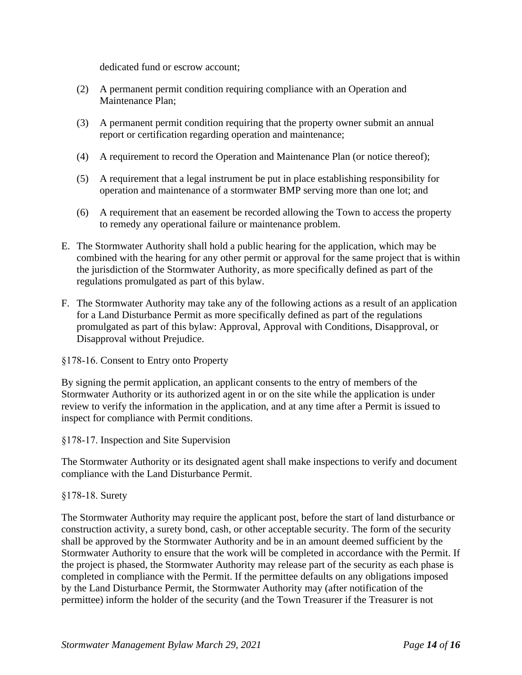dedicated fund or escrow account;

- (2) A permanent permit condition requiring compliance with an Operation and Maintenance Plan;
- (3) A permanent permit condition requiring that the property owner submit an annual report or certification regarding operation and maintenance;
- (4) A requirement to record the Operation and Maintenance Plan (or notice thereof);
- (5) A requirement that a legal instrument be put in place establishing responsibility for operation and maintenance of a stormwater BMP serving more than one lot; and
- (6) A requirement that an easement be recorded allowing the Town to access the property to remedy any operational failure or maintenance problem.
- E. The Stormwater Authority shall hold a public hearing for the application, which may be combined with the hearing for any other permit or approval for the same project that is within the jurisdiction of the Stormwater Authority, as more specifically defined as part of the regulations promulgated as part of this bylaw.
- F. The Stormwater Authority may take any of the following actions as a result of an application for a Land Disturbance Permit as more specifically defined as part of the regulations promulgated as part of this bylaw: Approval, Approval with Conditions, Disapproval, or Disapproval without Prejudice.

§178-16. Consent to Entry onto Property

By signing the permit application, an applicant consents to the entry of members of the Stormwater Authority or its authorized agent in or on the site while the application is under review to verify the information in the application, and at any time after a Permit is issued to inspect for compliance with Permit conditions.

§178-17. Inspection and Site Supervision

The Stormwater Authority or its designated agent shall make inspections to verify and document compliance with the Land Disturbance Permit.

#### §178-18. Surety

The Stormwater Authority may require the applicant post, before the start of land disturbance or construction activity, a surety bond, cash, or other acceptable security. The form of the security shall be approved by the Stormwater Authority and be in an amount deemed sufficient by the Stormwater Authority to ensure that the work will be completed in accordance with the Permit. If the project is phased, the Stormwater Authority may release part of the security as each phase is completed in compliance with the Permit. If the permittee defaults on any obligations imposed by the Land Disturbance Permit, the Stormwater Authority may (after notification of the permittee) inform the holder of the security (and the Town Treasurer if the Treasurer is not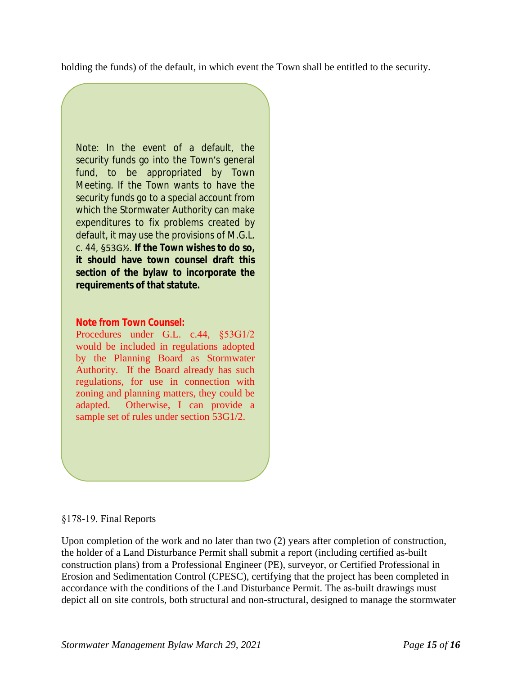holding the funds) of the default, in which event the Town shall be entitled to the security.

Note: In the event of a default, the security funds go into the Town's general fund, to be appropriated by Town Meeting. If the Town wants to have the security funds go to a special account from which the Stormwater Authority can make expenditures to fix problems created by default, it may use the provisions of M.G.L. c. 44, §53G½. **If the Town wishes to do so, it should have town counsel draft this section of the bylaw to incorporate the requirements of that statute.**

### **Note from Town Counsel:**

Procedures under G.L. c.44, §53G1/2 would be included in regulations adopted by the Planning Board as Stormwater Authority. If the Board already has such regulations, for use in connection with zoning and planning matters, they could be adapted. Otherwise, I can provide a sample set of rules under section 53G1/2.

#### §178-19. Final Reports

Upon completion of the work and no later than two (2) years after completion of construction, the holder of a Land Disturbance Permit shall submit a report (including certified as-built construction plans) from a Professional Engineer (PE), surveyor, or Certified Professional in Erosion and Sedimentation Control (CPESC), certifying that the project has been completed in accordance with the conditions of the Land Disturbance Permit. The as-built drawings must depict all on site controls, both structural and non-structural, designed to manage the stormwater